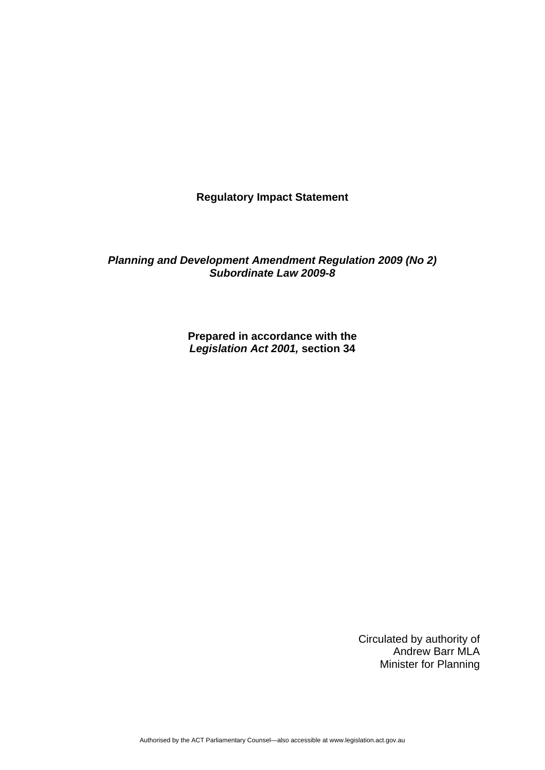**Regulatory Impact Statement** 

*Planning and Development Amendment Regulation 2009 (No 2) Subordinate Law 2009-8* 

> **Prepared in accordance with the**  *Legislation Act 2001,* **section 34**

> > Circulated by authority of Andrew Barr MLA Minister for Planning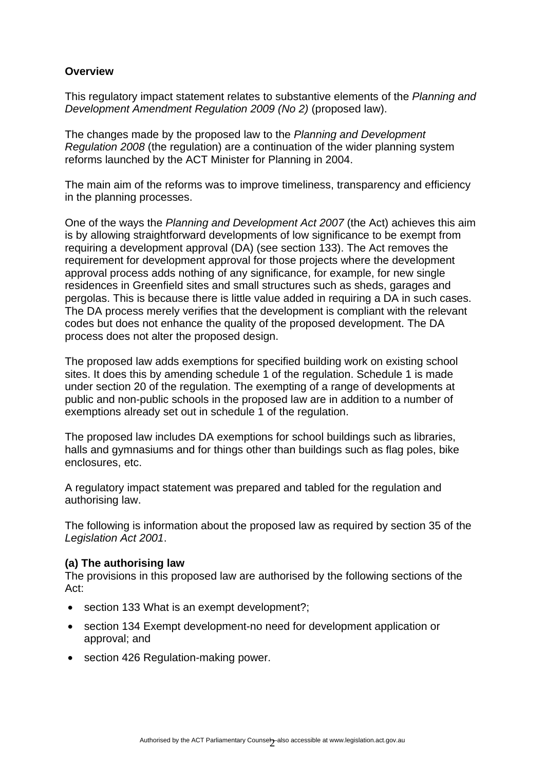## **Overview**

This regulatory impact statement relates to substantive elements of the *Planning and Development Amendment Regulation 2009 (No 2)* (proposed law).

The changes made by the proposed law to the *Planning and Development Regulation 2008* (the regulation) are a continuation of the wider planning system reforms launched by the ACT Minister for Planning in 2004.

The main aim of the reforms was to improve timeliness, transparency and efficiency in the planning processes.

One of the ways the *Planning and Development Act 2007* (the Act) achieves this aim is by allowing straightforward developments of low significance to be exempt from requiring a development approval (DA) (see section 133). The Act removes the requirement for development approval for those projects where the development approval process adds nothing of any significance, for example, for new single residences in Greenfield sites and small structures such as sheds, garages and pergolas. This is because there is little value added in requiring a DA in such cases. The DA process merely verifies that the development is compliant with the relevant codes but does not enhance the quality of the proposed development. The DA process does not alter the proposed design.

The proposed law adds exemptions for specified building work on existing school sites. It does this by amending schedule 1 of the regulation. Schedule 1 is made under section 20 of the regulation. The exempting of a range of developments at public and non-public schools in the proposed law are in addition to a number of exemptions already set out in schedule 1 of the regulation.

The proposed law includes DA exemptions for school buildings such as libraries, halls and gymnasiums and for things other than buildings such as flag poles, bike enclosures, etc.

A regulatory impact statement was prepared and tabled for the regulation and authorising law.

The following is information about the proposed law as required by section 35 of the *Legislation Act 2001*.

### **(a) The authorising law**

The provisions in this proposed law are authorised by the following sections of the Act:

- section 133 What is an exempt development?:
- section 134 Exempt development-no need for development application or approval; and
- section 426 Regulation-making power.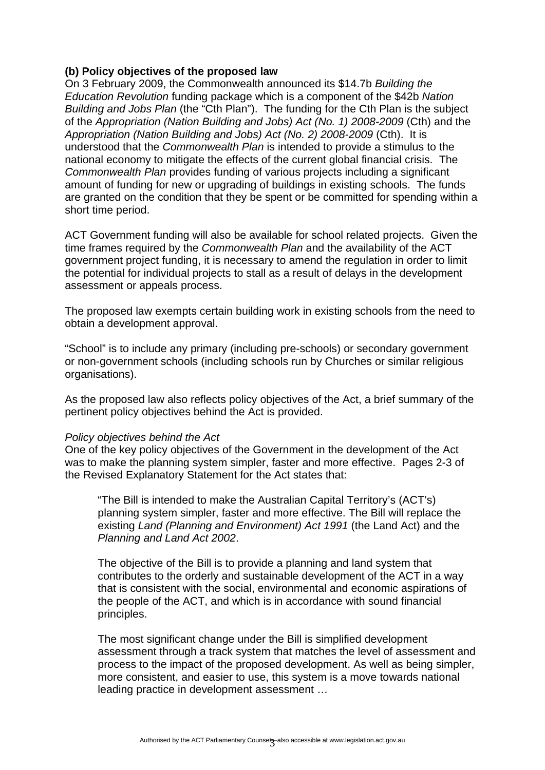### **(b) Policy objectives of the proposed law**

On 3 February 2009, the Commonwealth announced its \$14.7b *Building the Education Revolution* funding package which is a component of the \$42b *Nation Building and Jobs Plan* (the "Cth Plan"). The funding for the Cth Plan is the subject of the *Appropriation (Nation Building and Jobs) Act (No. 1) 2008-2009* (Cth) and the *Appropriation (Nation Building and Jobs) Act (No. 2) 2008-2009* (Cth). It is understood that the *Commonwealth Plan* is intended to provide a stimulus to the national economy to mitigate the effects of the current global financial crisis. The *Commonwealth Plan* provides funding of various projects including a significant amount of funding for new or upgrading of buildings in existing schools. The funds are granted on the condition that they be spent or be committed for spending within a short time period.

ACT Government funding will also be available for school related projects. Given the time frames required by the *Commonwealth Plan* and the availability of the ACT government project funding, it is necessary to amend the regulation in order to limit the potential for individual projects to stall as a result of delays in the development assessment or appeals process.

The proposed law exempts certain building work in existing schools from the need to obtain a development approval.

"School" is to include any primary (including pre-schools) or secondary government or non-government schools (including schools run by Churches or similar religious organisations).

As the proposed law also reflects policy objectives of the Act, a brief summary of the pertinent policy objectives behind the Act is provided.

#### *Policy objectives behind the Act*

One of the key policy objectives of the Government in the development of the Act was to make the planning system simpler, faster and more effective. Pages 2-3 of the Revised Explanatory Statement for the Act states that:

"The Bill is intended to make the Australian Capital Territory's (ACT's) planning system simpler, faster and more effective. The Bill will replace the existing *Land (Planning and Environment) Act 1991* (the Land Act) and the *Planning and Land Act 2002*.

The objective of the Bill is to provide a planning and land system that contributes to the orderly and sustainable development of the ACT in a way that is consistent with the social, environmental and economic aspirations of the people of the ACT, and which is in accordance with sound financial principles.

The most significant change under the Bill is simplified development assessment through a track system that matches the level of assessment and process to the impact of the proposed development. As well as being simpler, more consistent, and easier to use, this system is a move towards national leading practice in development assessment …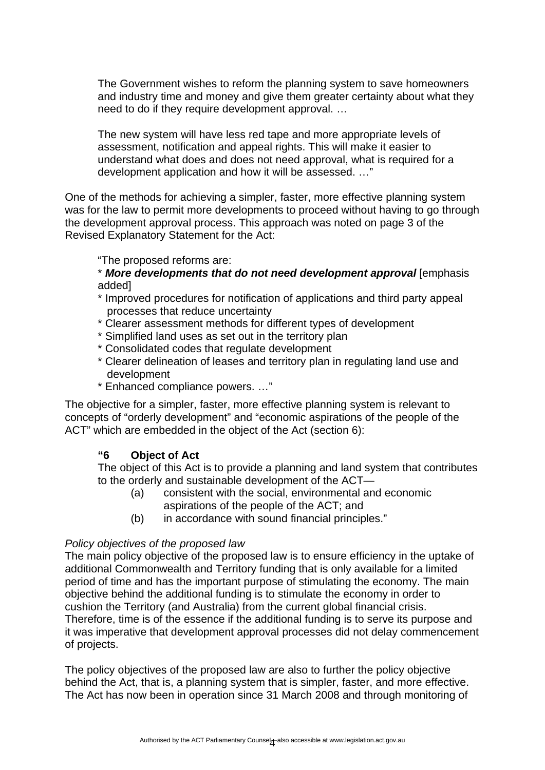The Government wishes to reform the planning system to save homeowners and industry time and money and give them greater certainty about what they need to do if they require development approval. …

The new system will have less red tape and more appropriate levels of assessment, notification and appeal rights. This will make it easier to understand what does and does not need approval, what is required for a development application and how it will be assessed. …"

One of the methods for achieving a simpler, faster, more effective planning system was for the law to permit more developments to proceed without having to go through the development approval process. This approach was noted on page 3 of the Revised Explanatory Statement for the Act:

"The proposed reforms are:

\* *More developments that do not need development approval* [emphasis added]

- \* Improved procedures for notification of applications and third party appeal processes that reduce uncertainty
- \* Clearer assessment methods for different types of development
- \* Simplified land uses as set out in the territory plan
- \* Consolidated codes that regulate development
- \* Clearer delineation of leases and territory plan in regulating land use and development
- \* Enhanced compliance powers. …"

The objective for a simpler, faster, more effective planning system is relevant to concepts of "orderly development" and "economic aspirations of the people of the ACT" which are embedded in the object of the Act (section 6):

### **"6 Object of Act**

The object of this Act is to provide a planning and land system that contributes to the orderly and sustainable development of the ACT—

- (a) consistent with the social, environmental and economic aspirations of the people of the ACT; and
- (b) in accordance with sound financial principles."

#### *Policy objectives of the proposed law*

The main policy objective of the proposed law is to ensure efficiency in the uptake of additional Commonwealth and Territory funding that is only available for a limited period of time and has the important purpose of stimulating the economy. The main objective behind the additional funding is to stimulate the economy in order to cushion the Territory (and Australia) from the current global financial crisis. Therefore, time is of the essence if the additional funding is to serve its purpose and it was imperative that development approval processes did not delay commencement of projects.

The policy objectives of the proposed law are also to further the policy objective behind the Act, that is, a planning system that is simpler, faster, and more effective. The Act has now been in operation since 31 March 2008 and through monitoring of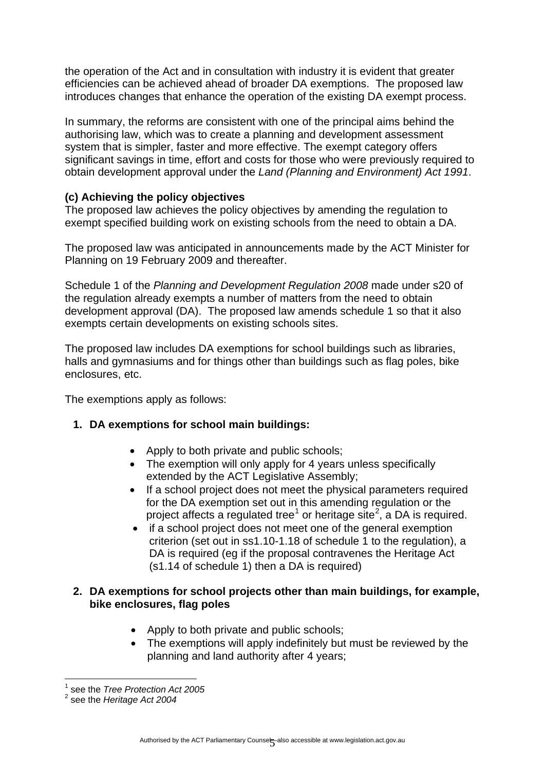the operation of the Act and in consultation with industry it is evident that greater efficiencies can be achieved ahead of broader DA exemptions. The proposed law introduces changes that enhance the operation of the existing DA exempt process.

In summary, the reforms are consistent with one of the principal aims behind the authorising law, which was to create a planning and development assessment system that is simpler, faster and more effective. The exempt category offers significant savings in time, effort and costs for those who were previously required to obtain development approval under the *Land (Planning and Environment) Act 1991*.

# **(c) Achieving the policy objectives**

The proposed law achieves the policy objectives by amending the regulation to exempt specified building work on existing schools from the need to obtain a DA.

The proposed law was anticipated in announcements made by the ACT Minister for Planning on 19 February 2009 and thereafter.

Schedule 1 of the *Planning and Development Regulation 2008* made under s20 of the regulation already exempts a number of matters from the need to obtain development approval (DA). The proposed law amends schedule 1 so that it also exempts certain developments on existing schools sites.

The proposed law includes DA exemptions for school buildings such as libraries, halls and gymnasiums and for things other than buildings such as flag poles, bike enclosures, etc.

The exemptions apply as follows:

### **1. DA exemptions for school main buildings:**

- Apply to both private and public schools;
- The exemption will only apply for 4 years unless specifically extended by the ACT Legislative Assembly;
- If a school project does not meet the physical parameters required for the DA exemption set out in this amending regulation or the project affects a regulated tree<sup>[1](#page-4-0)</sup> or heritage site<sup>[2](#page-4-1)</sup>, a DA is required.
- if a school project does not meet one of the general exemption criterion (set out in ss1.10-1.18 of schedule 1 to the regulation), a DA is required (eg if the proposal contravenes the Heritage Act (s1.14 of schedule 1) then a DA is required)

## **2. DA exemptions for school projects other than main buildings, for example, bike enclosures, flag poles**

- Apply to both private and public schools;
- The exemptions will apply indefinitely but must be reviewed by the planning and land authority after 4 years;

1

<span id="page-4-0"></span><sup>1</sup> see the *Tree Protection Act 2005*

<span id="page-4-1"></span><sup>2</sup> see the *Heritage Act 2004*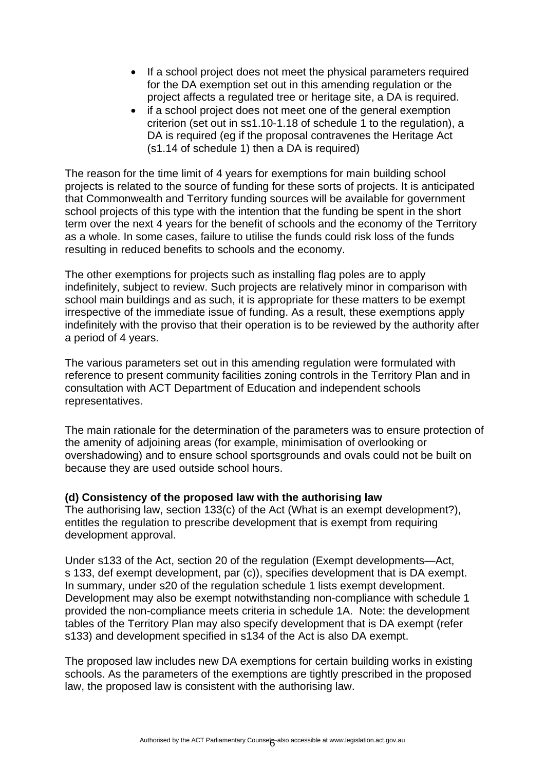- If a school project does not meet the physical parameters required for the DA exemption set out in this amending regulation or the project affects a regulated tree or heritage site, a DA is required.
- if a school project does not meet one of the general exemption criterion (set out in ss1.10-1.18 of schedule 1 to the regulation), a DA is required (eq if the proposal contravenes the Heritage Act (s1.14 of schedule 1) then a DA is required)

The reason for the time limit of 4 years for exemptions for main building school projects is related to the source of funding for these sorts of projects. It is anticipated that Commonwealth and Territory funding sources will be available for government school projects of this type with the intention that the funding be spent in the short term over the next 4 years for the benefit of schools and the economy of the Territory as a whole. In some cases, failure to utilise the funds could risk loss of the funds resulting in reduced benefits to schools and the economy.

The other exemptions for projects such as installing flag poles are to apply indefinitely, subject to review. Such projects are relatively minor in comparison with school main buildings and as such, it is appropriate for these matters to be exempt irrespective of the immediate issue of funding. As a result, these exemptions apply indefinitely with the proviso that their operation is to be reviewed by the authority after a period of 4 years.

The various parameters set out in this amending regulation were formulated with reference to present community facilities zoning controls in the Territory Plan and in consultation with ACT Department of Education and independent schools representatives.

The main rationale for the determination of the parameters was to ensure protection of the amenity of adjoining areas (for example, minimisation of overlooking or overshadowing) and to ensure school sportsgrounds and ovals could not be built on because they are used outside school hours.

### **(d) Consistency of the proposed law with the authorising law**

The authorising law, section 133(c) of the Act (What is an exempt development?), entitles the regulation to prescribe development that is exempt from requiring development approval.

Under s133 of the Act, section 20 of the regulation (Exempt developments—Act, s 133, def exempt development, par (c)), specifies development that is DA exempt. In summary, under s20 of the regulation schedule 1 lists exempt development. Development may also be exempt notwithstanding non-compliance with schedule 1 provided the non-compliance meets criteria in schedule 1A. Note: the development tables of the Territory Plan may also specify development that is DA exempt (refer s133) and development specified in s134 of the Act is also DA exempt.

The proposed law includes new DA exemptions for certain building works in existing schools. As the parameters of the exemptions are tightly prescribed in the proposed law, the proposed law is consistent with the authorising law.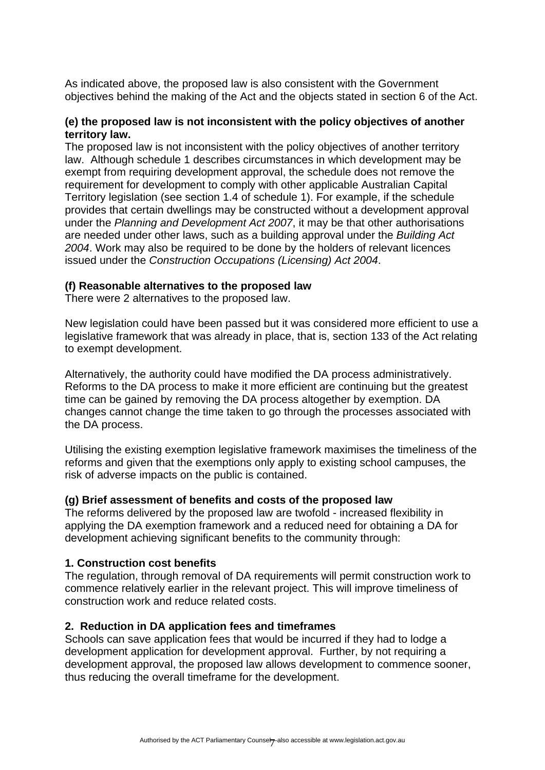As indicated above, the proposed law is also consistent with the Government objectives behind the making of the Act and the objects stated in section 6 of the Act.

### **(e) the proposed law is not inconsistent with the policy objectives of another territory law.**

The proposed law is not inconsistent with the policy objectives of another territory law. Although schedule 1 describes circumstances in which development may be exempt from requiring development approval, the schedule does not remove the requirement for development to comply with other applicable Australian Capital Territory legislation (see section 1.4 of schedule 1). For example, if the schedule provides that certain dwellings may be constructed without a development approval under the *Planning and Development Act 2007*, it may be that other authorisations are needed under other laws, such as a building approval under the *Building Act 2004*. Work may also be required to be done by the holders of relevant licences issued under the *Construction Occupations (Licensing) Act 2004*.

### **(f) Reasonable alternatives to the proposed law**

There were 2 alternatives to the proposed law.

New legislation could have been passed but it was considered more efficient to use a legislative framework that was already in place, that is, section 133 of the Act relating to exempt development.

Alternatively, the authority could have modified the DA process administratively. Reforms to the DA process to make it more efficient are continuing but the greatest time can be gained by removing the DA process altogether by exemption. DA changes cannot change the time taken to go through the processes associated with the DA process.

Utilising the existing exemption legislative framework maximises the timeliness of the reforms and given that the exemptions only apply to existing school campuses, the risk of adverse impacts on the public is contained.

### **(g) Brief assessment of benefits and costs of the proposed law**

The reforms delivered by the proposed law are twofold - increased flexibility in applying the DA exemption framework and a reduced need for obtaining a DA for development achieving significant benefits to the community through:

### **1. Construction cost benefits**

The regulation, through removal of DA requirements will permit construction work to commence relatively earlier in the relevant project. This will improve timeliness of construction work and reduce related costs.

### **2. Reduction in DA application fees and timeframes**

Schools can save application fees that would be incurred if they had to lodge a development application for development approval. Further, by not requiring a development approval, the proposed law allows development to commence sooner, thus reducing the overall timeframe for the development.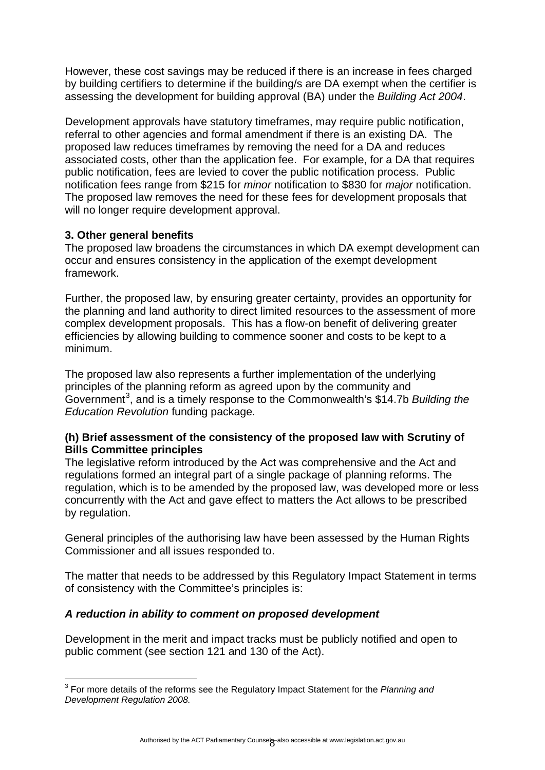However, these cost savings may be reduced if there is an increase in fees charged by building certifiers to determine if the building/s are DA exempt when the certifier is assessing the development for building approval (BA) under the *Building Act 2004*.

Development approvals have statutory timeframes, may require public notification, referral to other agencies and formal amendment if there is an existing DA. The proposed law reduces timeframes by removing the need for a DA and reduces associated costs, other than the application fee. For example, for a DA that requires public notification, fees are levied to cover the public notification process. Public notification fees range from \$215 for *minor* notification to \$830 for *major* notification. The proposed law removes the need for these fees for development proposals that will no longer require development approval.

## **3. Other general benefits**

The proposed law broadens the circumstances in which DA exempt development can occur and ensures consistency in the application of the exempt development framework.

Further, the proposed law, by ensuring greater certainty, provides an opportunity for the planning and land authority to direct limited resources to the assessment of more complex development proposals. This has a flow-on benefit of delivering greater efficiencies by allowing building to commence sooner and costs to be kept to a minimum.

The proposed law also represents a further implementation of the underlying principles of the planning reform as agreed upon by the community and Government<sup>[3](#page-7-0)</sup>, and is a timely response to the Commonwealth's \$14.7b *Building the Education Revolution* funding package.

## **(h) Brief assessment of the consistency of the proposed law with Scrutiny of Bills Committee principles**

The legislative reform introduced by the Act was comprehensive and the Act and regulations formed an integral part of a single package of planning reforms. The regulation, which is to be amended by the proposed law, was developed more or less concurrently with the Act and gave effect to matters the Act allows to be prescribed by regulation.

General principles of the authorising law have been assessed by the Human Rights Commissioner and all issues responded to.

The matter that needs to be addressed by this Regulatory Impact Statement in terms of consistency with the Committee's principles is:

### *A reduction in ability to comment on proposed development*

Development in the merit and impact tracks must be publicly notified and open to public comment (see section 121 and 130 of the Act).

<span id="page-7-0"></span> 3 For more details of the reforms see the Regulatory Impact Statement for the *Planning and Development Regulation 2008.*